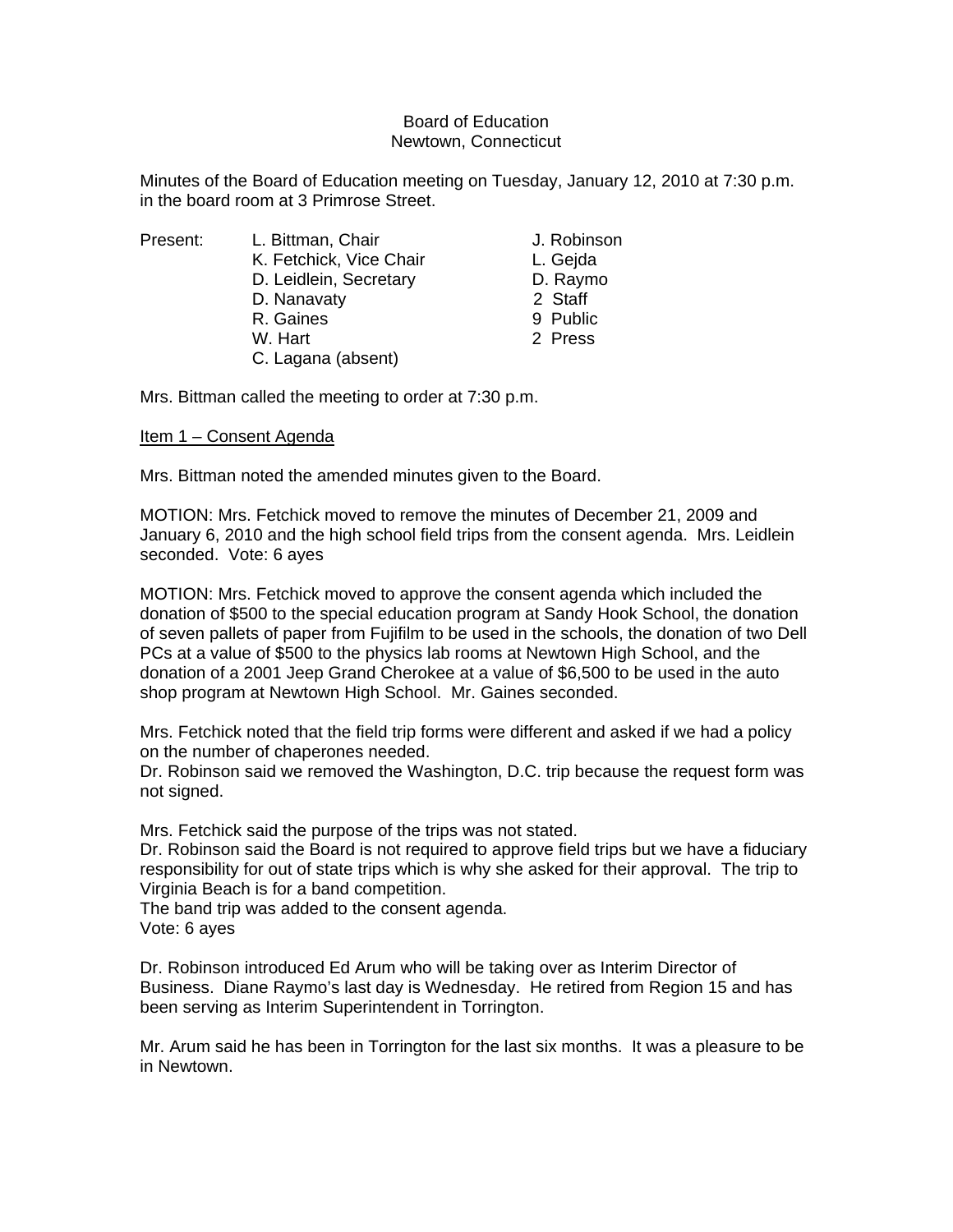## Board of Education Newtown, Connecticut

Minutes of the Board of Education meeting on Tuesday, January 12, 2010 at 7:30 p.m. in the board room at 3 Primrose Street.

| Present: | L. Bittman, Chair       | J. Robinson |
|----------|-------------------------|-------------|
|          | K. Fetchick, Vice Chair | L. Gejda    |
|          | D. Leidlein, Secretary  | D. Raymo    |
|          | D. Nanavaty             | 2 Staff     |
|          | R. Gaines               | 9 Public    |
|          | W. Hart                 | 2 Press     |
|          | C. Lagana (absent)      |             |
|          |                         |             |

Mrs. Bittman called the meeting to order at 7:30 p.m.

# Item 1 – Consent Agenda

Mrs. Bittman noted the amended minutes given to the Board.

MOTION: Mrs. Fetchick moved to remove the minutes of December 21, 2009 and January 6, 2010 and the high school field trips from the consent agenda. Mrs. Leidlein seconded. Vote: 6 ayes

MOTION: Mrs. Fetchick moved to approve the consent agenda which included the donation of \$500 to the special education program at Sandy Hook School, the donation of seven pallets of paper from Fujifilm to be used in the schools, the donation of two Dell PCs at a value of \$500 to the physics lab rooms at Newtown High School, and the donation of a 2001 Jeep Grand Cherokee at a value of \$6,500 to be used in the auto shop program at Newtown High School. Mr. Gaines seconded.

Mrs. Fetchick noted that the field trip forms were different and asked if we had a policy on the number of chaperones needed.

Dr. Robinson said we removed the Washington, D.C. trip because the request form was not signed.

Mrs. Fetchick said the purpose of the trips was not stated.

Dr. Robinson said the Board is not required to approve field trips but we have a fiduciary responsibility for out of state trips which is why she asked for their approval. The trip to Virginia Beach is for a band competition.

The band trip was added to the consent agenda. Vote: 6 ayes

Dr. Robinson introduced Ed Arum who will be taking over as Interim Director of Business. Diane Raymo's last day is Wednesday. He retired from Region 15 and has been serving as Interim Superintendent in Torrington.

Mr. Arum said he has been in Torrington for the last six months. It was a pleasure to be in Newtown.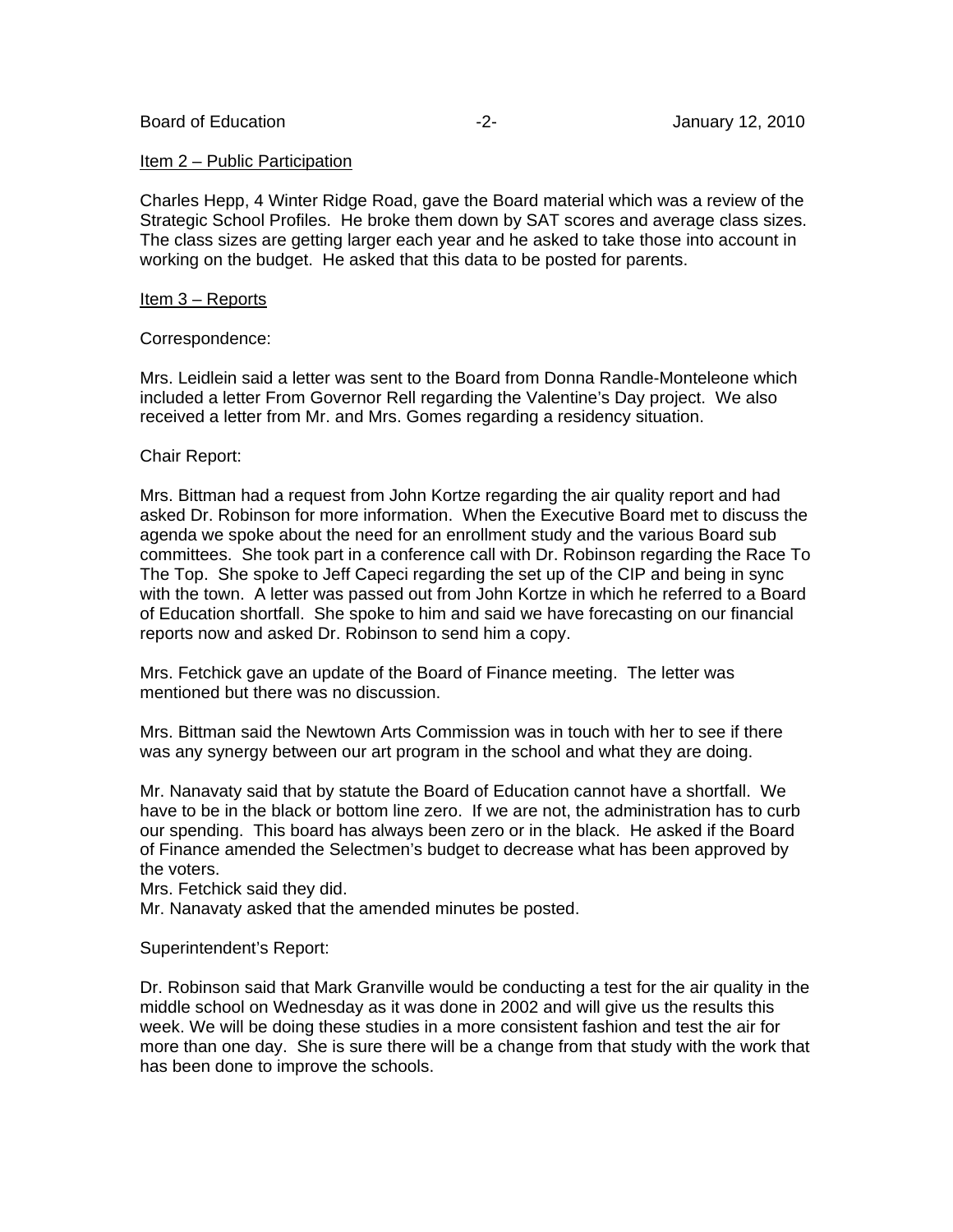## Item 2 – Public Participation

Charles Hepp, 4 Winter Ridge Road, gave the Board material which was a review of the Strategic School Profiles. He broke them down by SAT scores and average class sizes. The class sizes are getting larger each year and he asked to take those into account in working on the budget. He asked that this data to be posted for parents.

## Item 3 – Reports

## Correspondence:

Mrs. Leidlein said a letter was sent to the Board from Donna Randle-Monteleone which included a letter From Governor Rell regarding the Valentine's Day project. We also received a letter from Mr. and Mrs. Gomes regarding a residency situation.

## Chair Report:

Mrs. Bittman had a request from John Kortze regarding the air quality report and had asked Dr. Robinson for more information. When the Executive Board met to discuss the agenda we spoke about the need for an enrollment study and the various Board sub committees. She took part in a conference call with Dr. Robinson regarding the Race To The Top. She spoke to Jeff Capeci regarding the set up of the CIP and being in sync with the town. A letter was passed out from John Kortze in which he referred to a Board of Education shortfall. She spoke to him and said we have forecasting on our financial reports now and asked Dr. Robinson to send him a copy.

Mrs. Fetchick gave an update of the Board of Finance meeting. The letter was mentioned but there was no discussion.

Mrs. Bittman said the Newtown Arts Commission was in touch with her to see if there was any synergy between our art program in the school and what they are doing.

Mr. Nanavaty said that by statute the Board of Education cannot have a shortfall. We have to be in the black or bottom line zero. If we are not, the administration has to curb our spending. This board has always been zero or in the black. He asked if the Board of Finance amended the Selectmen's budget to decrease what has been approved by the voters.

Mrs. Fetchick said they did.

Mr. Nanavaty asked that the amended minutes be posted.

## Superintendent's Report:

Dr. Robinson said that Mark Granville would be conducting a test for the air quality in the middle school on Wednesday as it was done in 2002 and will give us the results this week. We will be doing these studies in a more consistent fashion and test the air for more than one day. She is sure there will be a change from that study with the work that has been done to improve the schools.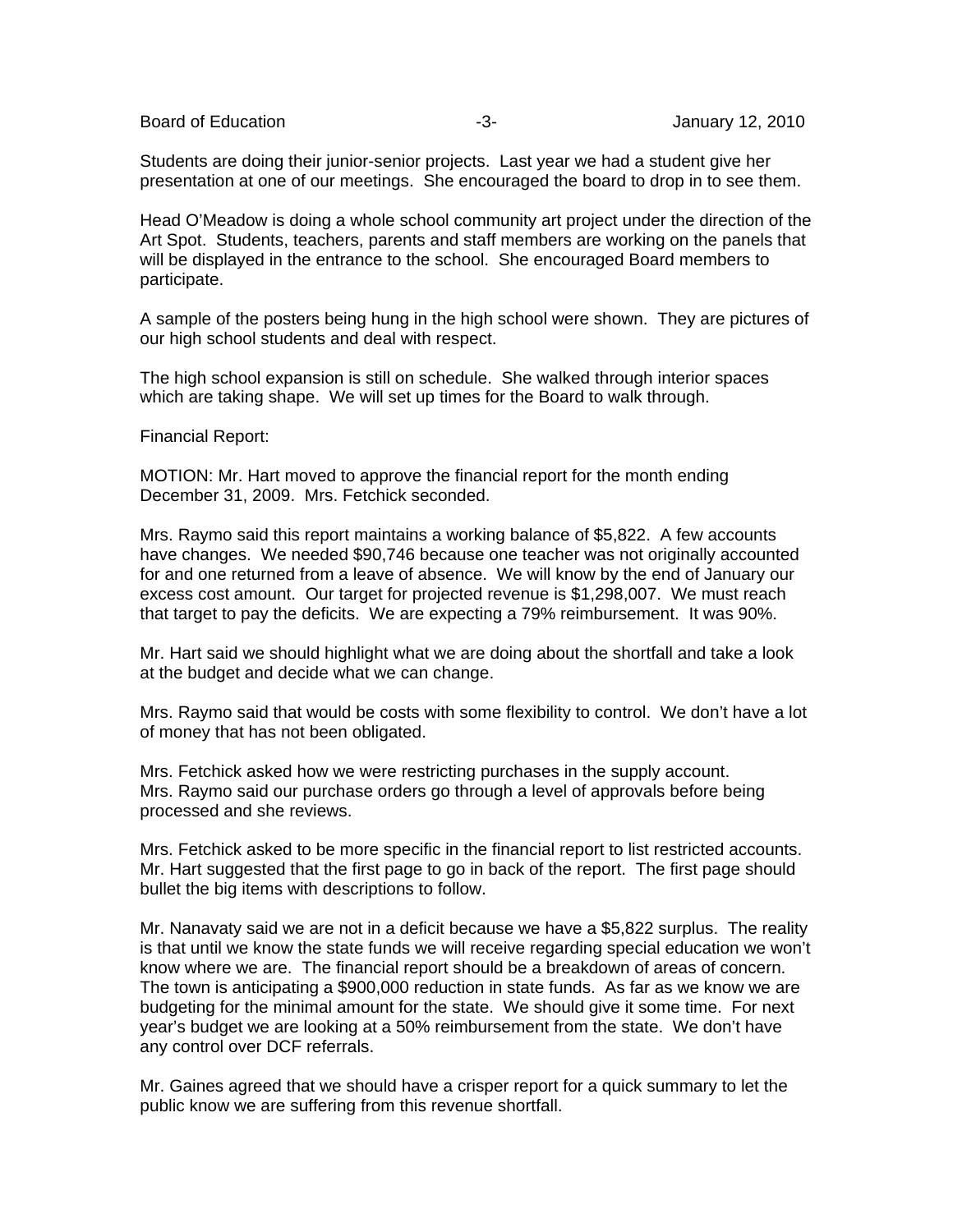Board of Education **-3-** Figure -3- Figure 12, 2010

Students are doing their junior-senior projects. Last year we had a student give her presentation at one of our meetings. She encouraged the board to drop in to see them.

Head O'Meadow is doing a whole school community art project under the direction of the Art Spot. Students, teachers, parents and staff members are working on the panels that will be displayed in the entrance to the school. She encouraged Board members to participate.

A sample of the posters being hung in the high school were shown. They are pictures of our high school students and deal with respect.

The high school expansion is still on schedule. She walked through interior spaces which are taking shape. We will set up times for the Board to walk through.

Financial Report:

MOTION: Mr. Hart moved to approve the financial report for the month ending December 31, 2009. Mrs. Fetchick seconded.

Mrs. Raymo said this report maintains a working balance of \$5,822. A few accounts have changes. We needed \$90,746 because one teacher was not originally accounted for and one returned from a leave of absence. We will know by the end of January our excess cost amount. Our target for projected revenue is \$1,298,007. We must reach that target to pay the deficits. We are expecting a 79% reimbursement. It was 90%.

Mr. Hart said we should highlight what we are doing about the shortfall and take a look at the budget and decide what we can change.

Mrs. Raymo said that would be costs with some flexibility to control. We don't have a lot of money that has not been obligated.

Mrs. Fetchick asked how we were restricting purchases in the supply account. Mrs. Raymo said our purchase orders go through a level of approvals before being processed and she reviews.

Mrs. Fetchick asked to be more specific in the financial report to list restricted accounts. Mr. Hart suggested that the first page to go in back of the report. The first page should bullet the big items with descriptions to follow.

Mr. Nanavaty said we are not in a deficit because we have a \$5,822 surplus. The reality is that until we know the state funds we will receive regarding special education we won't know where we are. The financial report should be a breakdown of areas of concern. The town is anticipating a \$900,000 reduction in state funds. As far as we know we are budgeting for the minimal amount for the state. We should give it some time. For next year's budget we are looking at a 50% reimbursement from the state. We don't have any control over DCF referrals.

Mr. Gaines agreed that we should have a crisper report for a quick summary to let the public know we are suffering from this revenue shortfall.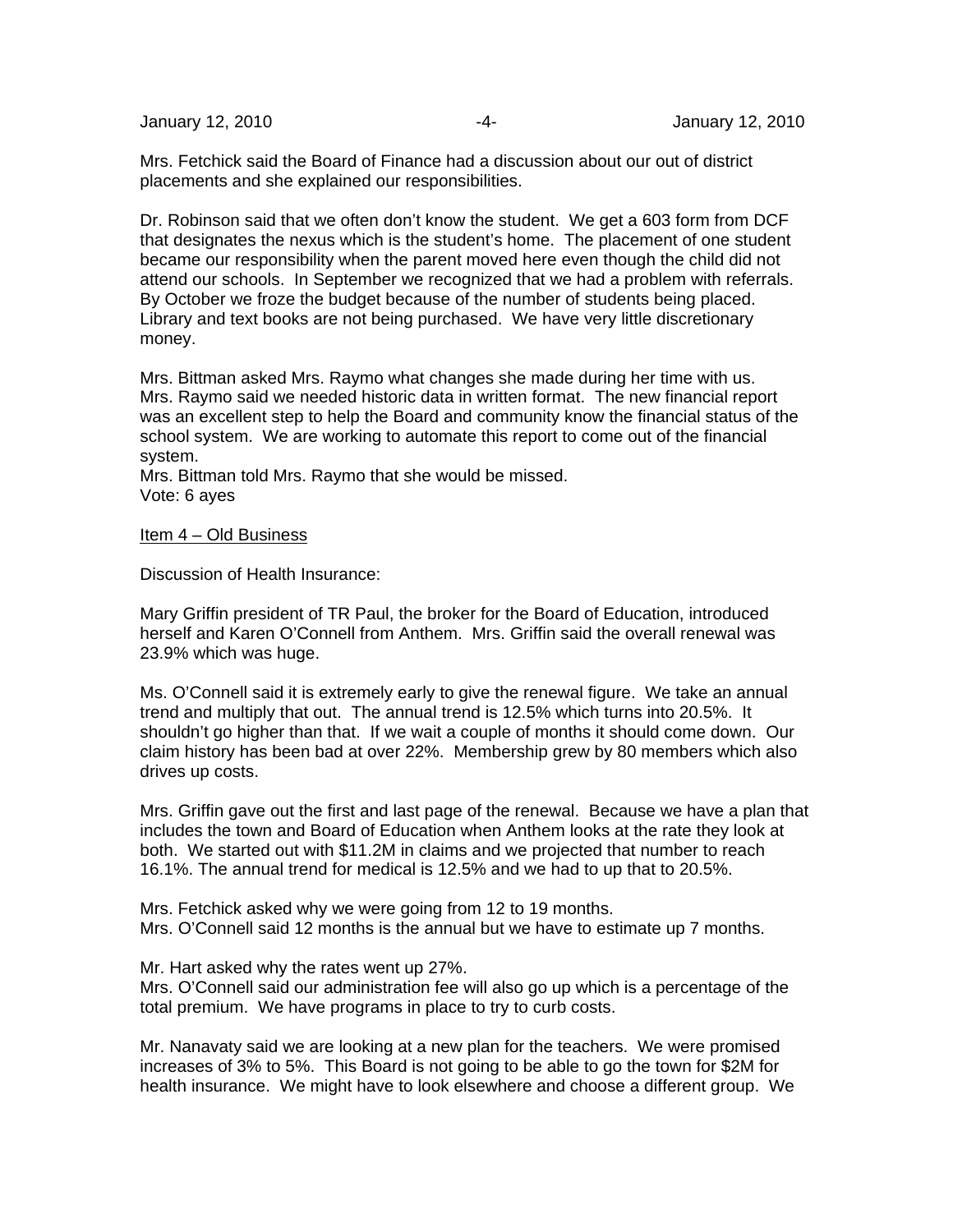Mrs. Fetchick said the Board of Finance had a discussion about our out of district placements and she explained our responsibilities.

Dr. Robinson said that we often don't know the student. We get a 603 form from DCF that designates the nexus which is the student's home. The placement of one student became our responsibility when the parent moved here even though the child did not attend our schools. In September we recognized that we had a problem with referrals. By October we froze the budget because of the number of students being placed. Library and text books are not being purchased. We have very little discretionary money.

Mrs. Bittman asked Mrs. Raymo what changes she made during her time with us. Mrs. Raymo said we needed historic data in written format. The new financial report was an excellent step to help the Board and community know the financial status of the school system. We are working to automate this report to come out of the financial system.

Mrs. Bittman told Mrs. Raymo that she would be missed. Vote: 6 ayes

## Item 4 – Old Business

Discussion of Health Insurance:

Mary Griffin president of TR Paul, the broker for the Board of Education, introduced herself and Karen O'Connell from Anthem. Mrs. Griffin said the overall renewal was 23.9% which was huge.

Ms. O'Connell said it is extremely early to give the renewal figure. We take an annual trend and multiply that out. The annual trend is 12.5% which turns into 20.5%. It shouldn't go higher than that. If we wait a couple of months it should come down. Our claim history has been bad at over 22%. Membership grew by 80 members which also drives up costs.

Mrs. Griffin gave out the first and last page of the renewal. Because we have a plan that includes the town and Board of Education when Anthem looks at the rate they look at both. We started out with \$11.2M in claims and we projected that number to reach 16.1%. The annual trend for medical is 12.5% and we had to up that to 20.5%.

Mrs. Fetchick asked why we were going from 12 to 19 months. Mrs. O'Connell said 12 months is the annual but we have to estimate up 7 months.

Mr. Hart asked why the rates went up 27%.

Mrs. O'Connell said our administration fee will also go up which is a percentage of the total premium. We have programs in place to try to curb costs.

Mr. Nanavaty said we are looking at a new plan for the teachers. We were promised increases of 3% to 5%. This Board is not going to be able to go the town for \$2M for health insurance. We might have to look elsewhere and choose a different group. We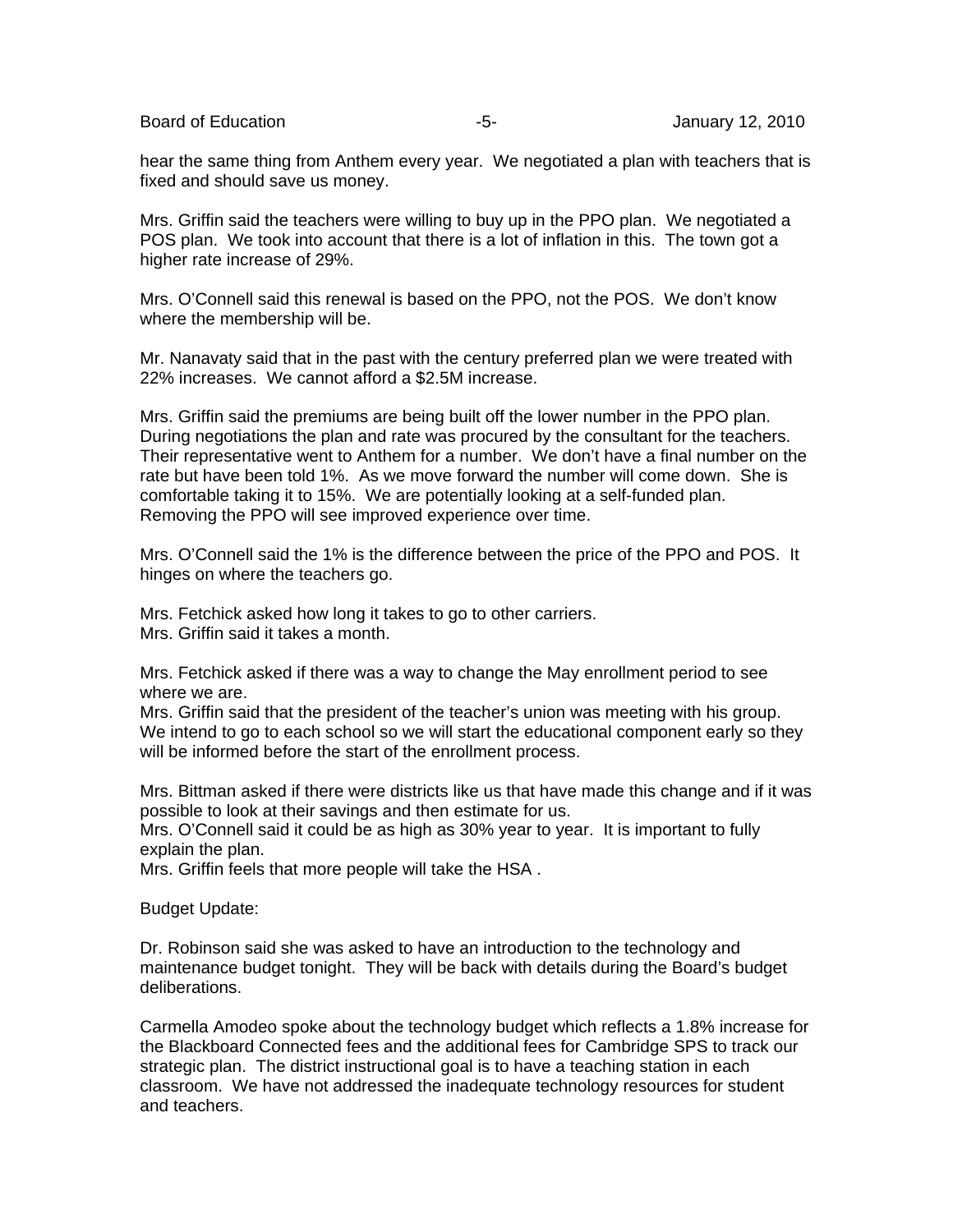Board of Education **-5-** Formulary 12, 2010

hear the same thing from Anthem every year. We negotiated a plan with teachers that is fixed and should save us money.

Mrs. Griffin said the teachers were willing to buy up in the PPO plan. We negotiated a POS plan. We took into account that there is a lot of inflation in this. The town got a higher rate increase of 29%.

Mrs. O'Connell said this renewal is based on the PPO, not the POS. We don't know where the membership will be.

Mr. Nanavaty said that in the past with the century preferred plan we were treated with 22% increases. We cannot afford a \$2.5M increase.

Mrs. Griffin said the premiums are being built off the lower number in the PPO plan. During negotiations the plan and rate was procured by the consultant for the teachers. Their representative went to Anthem for a number. We don't have a final number on the rate but have been told 1%. As we move forward the number will come down. She is comfortable taking it to 15%. We are potentially looking at a self-funded plan. Removing the PPO will see improved experience over time.

Mrs. O'Connell said the 1% is the difference between the price of the PPO and POS. It hinges on where the teachers go.

Mrs. Fetchick asked how long it takes to go to other carriers. Mrs. Griffin said it takes a month.

Mrs. Fetchick asked if there was a way to change the May enrollment period to see where we are.

Mrs. Griffin said that the president of the teacher's union was meeting with his group. We intend to go to each school so we will start the educational component early so they will be informed before the start of the enrollment process.

Mrs. Bittman asked if there were districts like us that have made this change and if it was possible to look at their savings and then estimate for us.

Mrs. O'Connell said it could be as high as 30% year to year. It is important to fully explain the plan.

Mrs. Griffin feels that more people will take the HSA .

Budget Update:

Dr. Robinson said she was asked to have an introduction to the technology and maintenance budget tonight. They will be back with details during the Board's budget deliberations.

Carmella Amodeo spoke about the technology budget which reflects a 1.8% increase for the Blackboard Connected fees and the additional fees for Cambridge SPS to track our strategic plan. The district instructional goal is to have a teaching station in each classroom. We have not addressed the inadequate technology resources for student and teachers.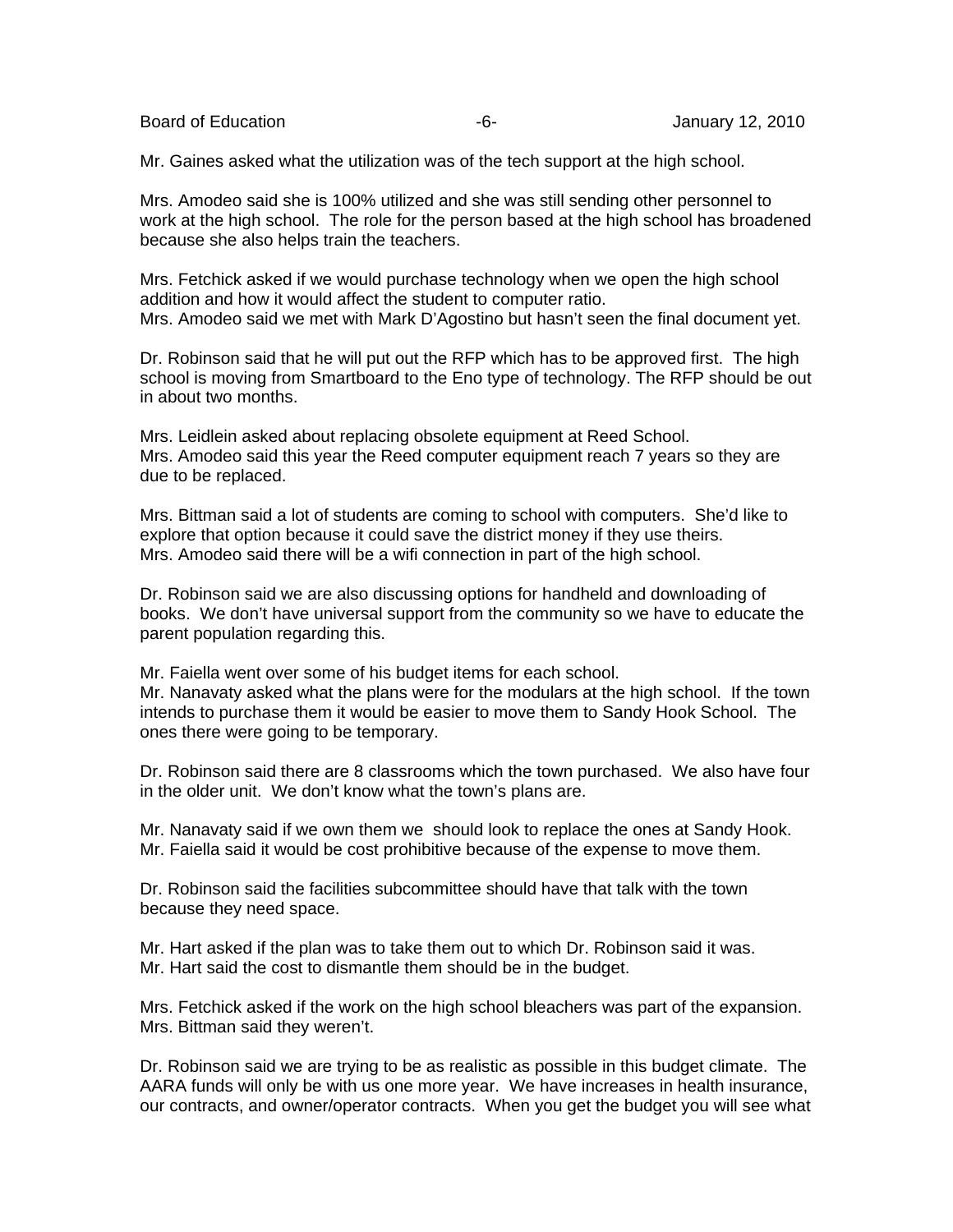Board of Education **-6-** Figure -6- Figure 12, 2010

Mr. Gaines asked what the utilization was of the tech support at the high school.

Mrs. Amodeo said she is 100% utilized and she was still sending other personnel to work at the high school. The role for the person based at the high school has broadened because she also helps train the teachers.

Mrs. Fetchick asked if we would purchase technology when we open the high school addition and how it would affect the student to computer ratio. Mrs. Amodeo said we met with Mark D'Agostino but hasn't seen the final document yet.

Dr. Robinson said that he will put out the RFP which has to be approved first. The high school is moving from Smartboard to the Eno type of technology. The RFP should be out in about two months.

Mrs. Leidlein asked about replacing obsolete equipment at Reed School. Mrs. Amodeo said this year the Reed computer equipment reach 7 years so they are due to be replaced.

Mrs. Bittman said a lot of students are coming to school with computers. She'd like to explore that option because it could save the district money if they use theirs. Mrs. Amodeo said there will be a wifi connection in part of the high school.

Dr. Robinson said we are also discussing options for handheld and downloading of books. We don't have universal support from the community so we have to educate the parent population regarding this.

Mr. Faiella went over some of his budget items for each school. Mr. Nanavaty asked what the plans were for the modulars at the high school. If the town intends to purchase them it would be easier to move them to Sandy Hook School. The ones there were going to be temporary.

Dr. Robinson said there are 8 classrooms which the town purchased. We also have four in the older unit. We don't know what the town's plans are.

Mr. Nanavaty said if we own them we should look to replace the ones at Sandy Hook. Mr. Faiella said it would be cost prohibitive because of the expense to move them.

Dr. Robinson said the facilities subcommittee should have that talk with the town because they need space.

Mr. Hart asked if the plan was to take them out to which Dr. Robinson said it was. Mr. Hart said the cost to dismantle them should be in the budget.

Mrs. Fetchick asked if the work on the high school bleachers was part of the expansion. Mrs. Bittman said they weren't.

Dr. Robinson said we are trying to be as realistic as possible in this budget climate. The AARA funds will only be with us one more year. We have increases in health insurance, our contracts, and owner/operator contracts. When you get the budget you will see what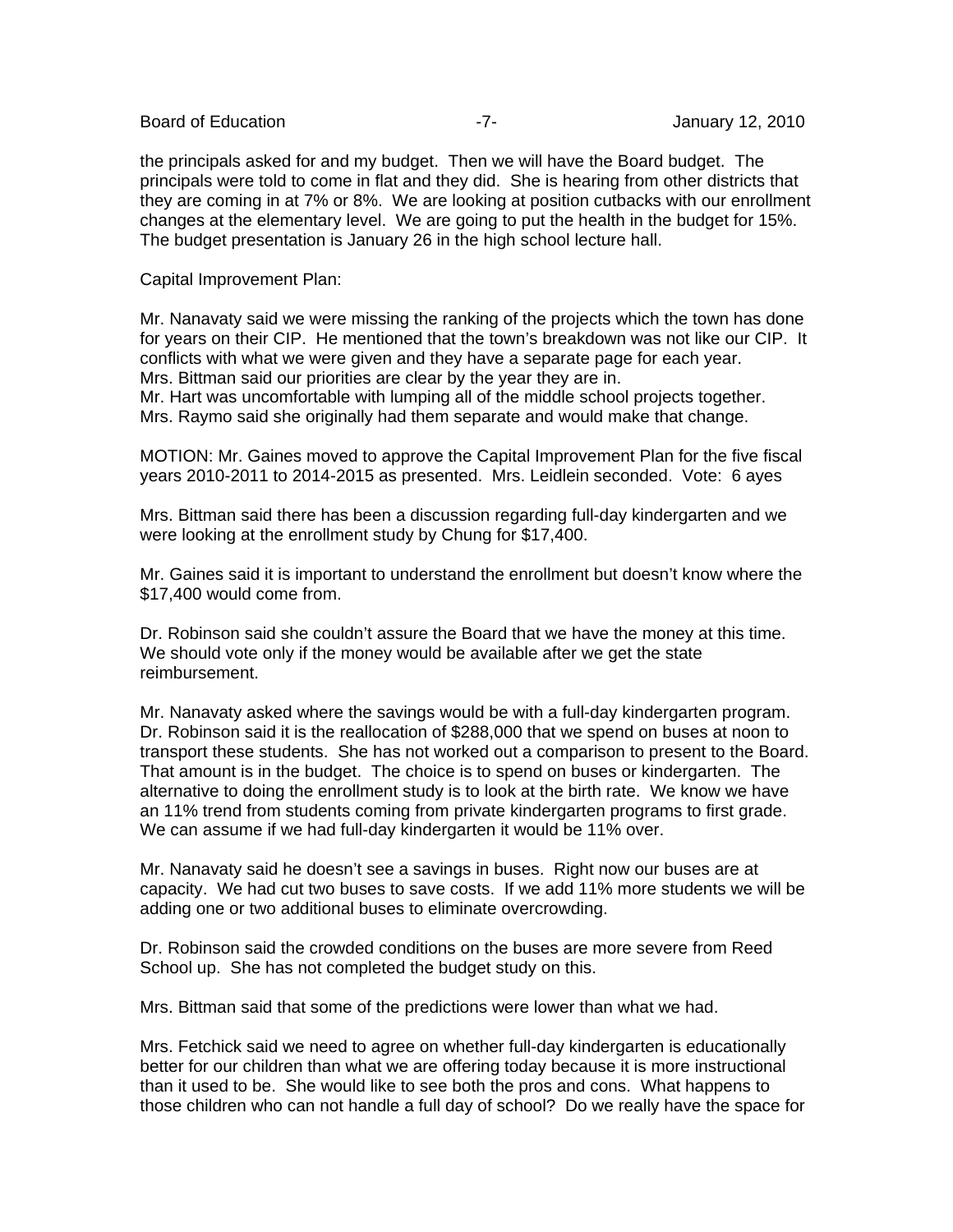Board of Education **Contract Contract Contract Contract Contract Contract Contract Contract Contract Contract Contract Contract Contract Contract Contract Contract Contract Contract Contract Contract Contract Contract Cont** 

the principals asked for and my budget. Then we will have the Board budget. The principals were told to come in flat and they did. She is hearing from other districts that they are coming in at 7% or 8%. We are looking at position cutbacks with our enrollment changes at the elementary level. We are going to put the health in the budget for 15%. The budget presentation is January 26 in the high school lecture hall.

Capital Improvement Plan:

Mr. Nanavaty said we were missing the ranking of the projects which the town has done for years on their CIP. He mentioned that the town's breakdown was not like our CIP. It conflicts with what we were given and they have a separate page for each year. Mrs. Bittman said our priorities are clear by the year they are in.

Mr. Hart was uncomfortable with lumping all of the middle school projects together. Mrs. Raymo said she originally had them separate and would make that change.

MOTION: Mr. Gaines moved to approve the Capital Improvement Plan for the five fiscal years 2010-2011 to 2014-2015 as presented. Mrs. Leidlein seconded. Vote: 6 ayes

Mrs. Bittman said there has been a discussion regarding full-day kindergarten and we were looking at the enrollment study by Chung for \$17,400.

Mr. Gaines said it is important to understand the enrollment but doesn't know where the \$17,400 would come from.

Dr. Robinson said she couldn't assure the Board that we have the money at this time. We should vote only if the money would be available after we get the state reimbursement.

Mr. Nanavaty asked where the savings would be with a full-day kindergarten program. Dr. Robinson said it is the reallocation of \$288,000 that we spend on buses at noon to transport these students. She has not worked out a comparison to present to the Board. That amount is in the budget. The choice is to spend on buses or kindergarten. The alternative to doing the enrollment study is to look at the birth rate. We know we have an 11% trend from students coming from private kindergarten programs to first grade. We can assume if we had full-day kindergarten it would be 11% over.

Mr. Nanavaty said he doesn't see a savings in buses. Right now our buses are at capacity. We had cut two buses to save costs. If we add 11% more students we will be adding one or two additional buses to eliminate overcrowding.

Dr. Robinson said the crowded conditions on the buses are more severe from Reed School up. She has not completed the budget study on this.

Mrs. Bittman said that some of the predictions were lower than what we had.

Mrs. Fetchick said we need to agree on whether full-day kindergarten is educationally better for our children than what we are offering today because it is more instructional than it used to be. She would like to see both the pros and cons. What happens to those children who can not handle a full day of school? Do we really have the space for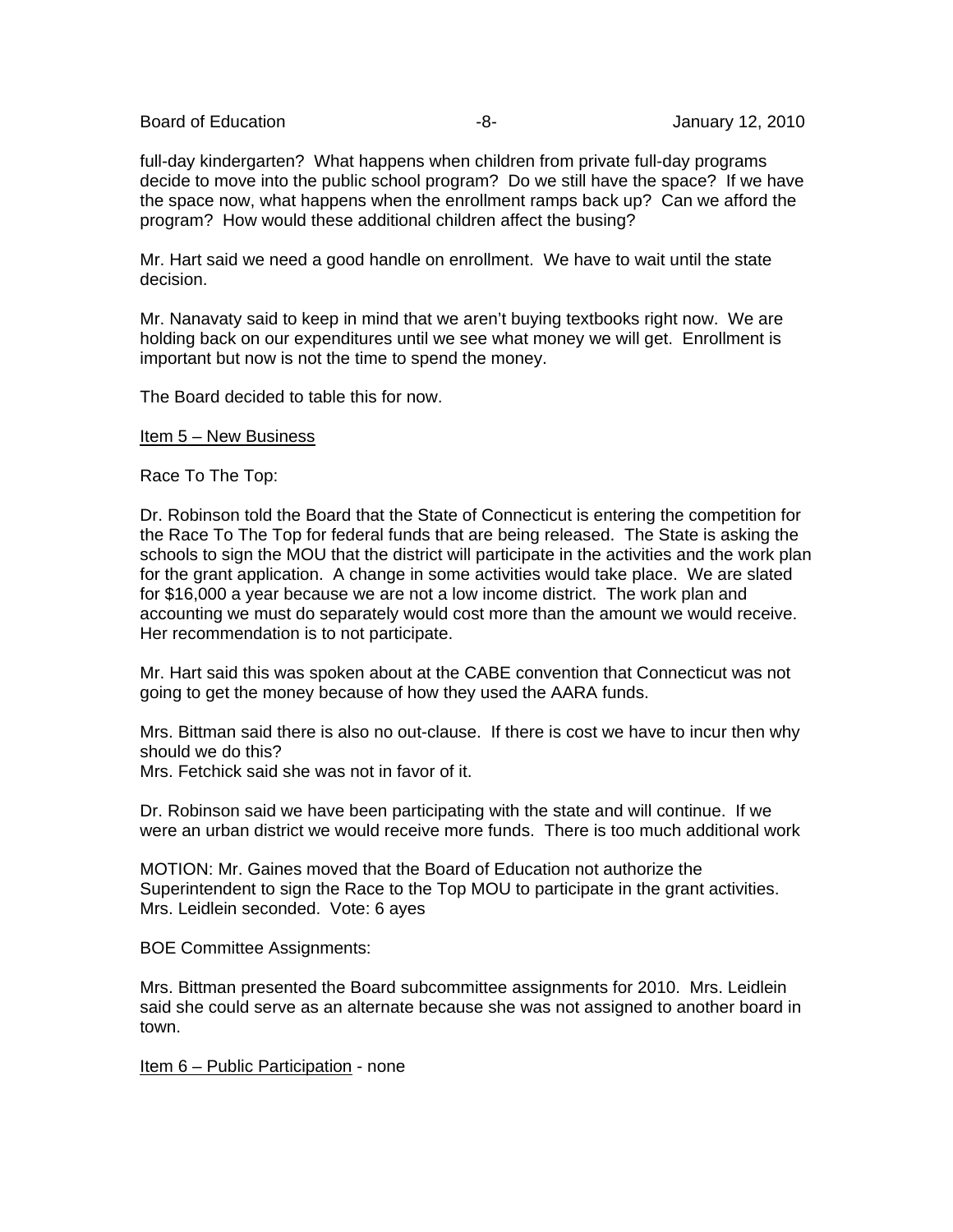Board of Education **-8-** Figure -8- All anuary 12, 2010

full-day kindergarten? What happens when children from private full-day programs decide to move into the public school program? Do we still have the space? If we have the space now, what happens when the enrollment ramps back up? Can we afford the program? How would these additional children affect the busing?

Mr. Hart said we need a good handle on enrollment. We have to wait until the state decision.

Mr. Nanavaty said to keep in mind that we aren't buying textbooks right now. We are holding back on our expenditures until we see what money we will get. Enrollment is important but now is not the time to spend the money.

The Board decided to table this for now.

Item 5 – New Business

Race To The Top:

Dr. Robinson told the Board that the State of Connecticut is entering the competition for the Race To The Top for federal funds that are being released. The State is asking the schools to sign the MOU that the district will participate in the activities and the work plan for the grant application. A change in some activities would take place. We are slated for \$16,000 a year because we are not a low income district. The work plan and accounting we must do separately would cost more than the amount we would receive. Her recommendation is to not participate.

Mr. Hart said this was spoken about at the CABE convention that Connecticut was not going to get the money because of how they used the AARA funds.

Mrs. Bittman said there is also no out-clause. If there is cost we have to incur then why should we do this?

Mrs. Fetchick said she was not in favor of it.

Dr. Robinson said we have been participating with the state and will continue. If we were an urban district we would receive more funds. There is too much additional work

MOTION: Mr. Gaines moved that the Board of Education not authorize the Superintendent to sign the Race to the Top MOU to participate in the grant activities. Mrs. Leidlein seconded. Vote: 6 ayes

BOE Committee Assignments:

Mrs. Bittman presented the Board subcommittee assignments for 2010. Mrs. Leidlein said she could serve as an alternate because she was not assigned to another board in town.

Item 6 – Public Participation - none